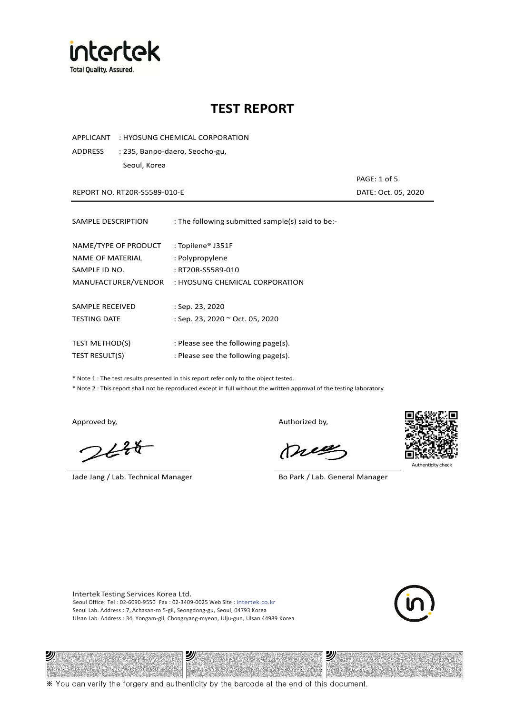

APPLICANT : HYOSUNG CHEMICAL CORPORATION

ADDRESS : 235, Banpo-daero, Seocho-gu, Seoul, Korea

REPORT NO. RT20R-S5589-010-E **DATE: Oct. 05, 2020** 

| SAMPLE DESCRIPTION      | : The following submitted sample(s) said to be:- |
|-------------------------|--------------------------------------------------|
|                         |                                                  |
| NAME/TYPE OF PRODUCT    | : Topilene® J351F                                |
| <b>NAME OF MATERIAL</b> | : Polypropylene                                  |
| SAMPLE ID NO.           | : RT20R-S5589-010                                |
| MANUFACTURER/VENDOR     | : HYOSUNG CHEMICAL CORPORATION                   |
|                         |                                                  |
| SAMPLE RECEIVED         | : Sep. 23, 2020                                  |
| <b>TESTING DATE</b>     | : Sep. 23, 2020 ~ Oct. 05, 2020                  |
|                         |                                                  |
| <b>TEST METHOD(S)</b>   | : Please see the following page(s).              |
| <b>TEST RESULT(S)</b>   | : Please see the following page(s).              |

\* Note 1 : The test results presented in this report refer only to the object tested.

\* Note 2 : This report shall not be reproduced except in full without the written approval of the testing laboratory.

沙

 $2648$ 

Jade Jang / Lab. Technical Manager Bo Park / Lab. General Manager

Approved by, and the control of the control of the Authorized by,

mes



沙

PAGE: 1 of 5

Intertek Testing Services Korea Ltd. Seoul Office: Tel : 02-6090-9550 Fax : 02-3409-0025 Web Site : intertek.co.kr Seoul Lab. Address : 7, Achasan-ro 5-gil, Seongdong-gu, Seoul, 04793 Korea Ulsan Lab. Address : 34, Yongam-gil, Chongryang-myeon, Ulju-gun, Ulsan 44989 Korea

עי



※ You can verify the forgery and authenticity by the barcode at the end of this document.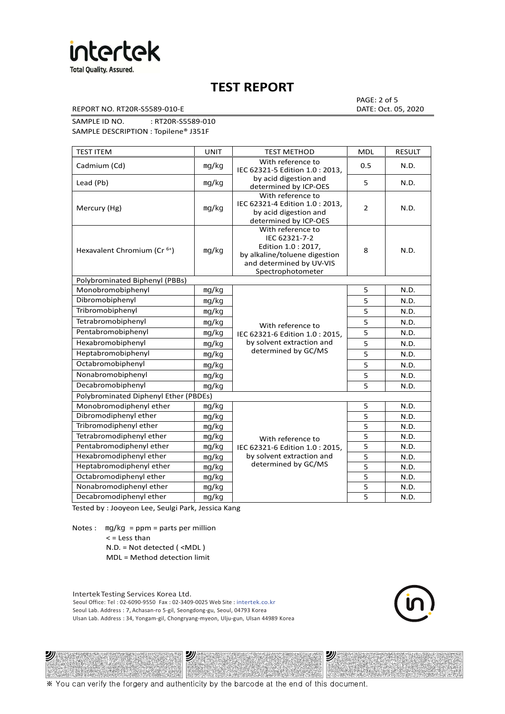

REPORT NO. RT20R-S5589-010-E DATE: Oct. 05, 2020

PAGE: 2 of 5

SAMPLE ID NO. : RT20R-S5589-010 SAMPLE DESCRIPTION : Topilene® J351F

| <b>TEST ITEM</b>                        | <b>UNIT</b> | <b>TEST METHOD</b>                                                                                                                          | <b>MDL</b>     | <b>RESULT</b> |
|-----------------------------------------|-------------|---------------------------------------------------------------------------------------------------------------------------------------------|----------------|---------------|
| Cadmium (Cd)                            | mg/kg       | With reference to<br>IEC 62321-5 Edition 1.0: 2013.                                                                                         | 0.5            | N.D.          |
| Lead (Pb)                               | mg/kg       | by acid digestion and<br>determined by ICP-OES                                                                                              | 5              | N.D.          |
| Mercury (Hg)                            | mg/kg       | With reference to<br>IEC 62321-4 Edition 1.0 : 2013,<br>by acid digestion and<br>determined by ICP-OES                                      | $\overline{2}$ | N.D.          |
| Hexavalent Chromium (Cr <sup>6+</sup> ) | mg/kg       | With reference to<br>IEC 62321-7-2<br>Edition 1.0 : 2017,<br>by alkaline/toluene digestion<br>and determined by UV-VIS<br>Spectrophotometer | 8              | N.D.          |
| Polybrominated Biphenyl (PBBs)          |             |                                                                                                                                             |                |               |
| Monobromobiphenyl                       | mg/kg       |                                                                                                                                             | 5              | N.D.          |
| Dibromobiphenyl                         | mg/kg       |                                                                                                                                             | 5              | N.D.          |
| Tribromobiphenyl                        | mg/kg       |                                                                                                                                             | 5              | N.D.          |
| Tetrabromobiphenyl                      | mg/kg       | With reference to                                                                                                                           | 5              | N.D.          |
| Pentabromobiphenyl                      | mg/kg       | IEC 62321-6 Edition 1.0 : 2015,                                                                                                             | 5              | N.D.          |
| Hexabromobiphenyl                       | mg/kg       | by solvent extraction and                                                                                                                   | 5              | N.D.          |
| Heptabromobiphenyl                      | mg/kg       | determined by GC/MS                                                                                                                         | 5              | N.D.          |
| Octabromobiphenyl                       | mq/kg       |                                                                                                                                             | 5              | N.D.          |
| Nonabromobiphenyl                       | mg/kg       |                                                                                                                                             | 5              | N.D.          |
| Decabromobiphenyl                       | mg/kg       |                                                                                                                                             | 5              | N.D.          |
| Polybrominated Diphenyl Ether (PBDEs)   |             |                                                                                                                                             |                |               |
| Monobromodiphenyl ether                 | mg/kg       |                                                                                                                                             | 5              | N.D.          |
| Dibromodiphenyl ether                   | mg/kg       |                                                                                                                                             | 5              | N.D.          |
| Tribromodiphenyl ether                  | mg/kg       |                                                                                                                                             | 5              | N.D.          |
| Tetrabromodiphenyl ether                | mg/kg       | With reference to                                                                                                                           | 5              | N.D.          |
| Pentabromodiphenyl ether                | mg/kg       | IEC 62321-6 Edition 1.0 : 2015,                                                                                                             | 5              | N.D.          |
| Hexabromodiphenyl ether                 | mq/kg       | by solvent extraction and                                                                                                                   | 5              | N.D.          |
| Heptabromodiphenyl ether                | mg/kg       | determined by GC/MS                                                                                                                         | 5              | N.D.          |
| Octabromodiphenyl ether                 | mg/kg       |                                                                                                                                             | 5              | N.D.          |
| Nonabromodiphenyl ether                 | mg/kg       |                                                                                                                                             | 5              | N.D.          |
| Decabromodiphenyl ether                 | mg/kg       |                                                                                                                                             | 5              | N.D.          |

Tested by : Jooyeon Lee, Seulgi Park, Jessica Kang

Notes : mg/kg = ppm = parts per million  $<$  = Less than

2)

N.D. = Not detected ( <MDL )

MDL = Method detection limit

Intertek Testing Services Korea Ltd. Seoul Office: Tel : 02-6090-9550 Fax : 02-3409-0025 Web Site : intertek.co.kr Seoul Lab. Address : 7, Achasan-ro 5-gil, Seongdong-gu, Seoul, 04793 Korea Ulsan Lab. Address : 34, Yongam-gil, Chongryang-myeon, Ulju-gun, Ulsan 44989 Korea

沙



沙

※ You can verify the forgery and authenticity by the barcode at the end of this document.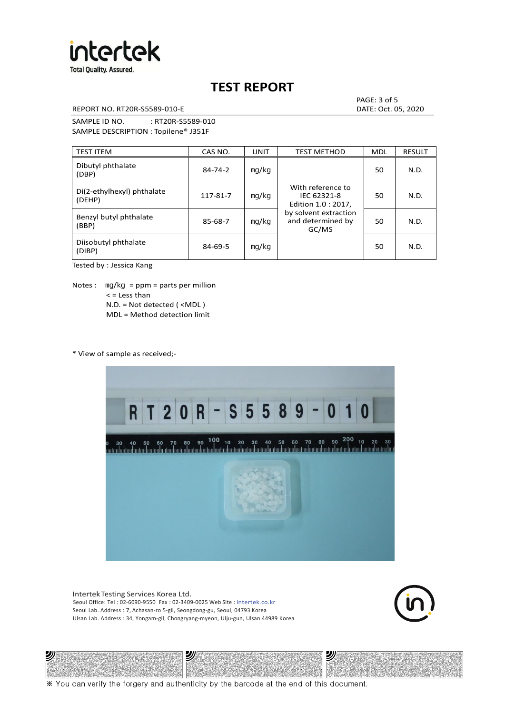

REPORT NO. RT20R-S5589-010-E DATE: Oct. 05, 2020

PAGE: 3 of 5

SAMPLE ID NO. : RT20R-S5589-010 SAMPLE DESCRIPTION : Topilene® J351F

| <b>TEST ITEM</b>                     | CAS NO.       | <b>UNIT</b> | <b>TEST METHOD</b>                                      | <b>MDL</b> | <b>RESULT</b> |
|--------------------------------------|---------------|-------------|---------------------------------------------------------|------------|---------------|
| Dibutyl phthalate<br>(DBP)           | $84 - 74 - 2$ | mq/kg       | With reference to<br>IEC 62321-8<br>Edition 1.0 : 2017, | 50         | N.D.          |
| Di(2-ethylhexyl) phthalate<br>(DEHP) | 117-81-7      | mg/kg       |                                                         | 50         | N.D.          |
| Benzyl butyl phthalate<br>(BBP)      | 85-68-7       | mg/kg       | by solvent extraction<br>and determined by<br>GC/MS     | 50         | N.D.          |
| Diisobutyl phthalate<br>(DIBP)       | $84 - 69 - 5$ | mg/kg       |                                                         | 50         | N.D.          |

Tested by : Jessica Kang

Notes :  $mq/kg = ppm = parts per million$  $<$  = Less than N.D. = Not detected ( <MDL ) MDL = Method detection limit

\* View of sample as received;-

沙



Intertek Testing Services Korea Ltd. Seoul Office: Tel : 02-6090-9550 Fax : 02-3409-0025 Web Site : intertek.co.kr Seoul Lab. Address : 7, Achasan-ro 5-gil, Seongdong-gu, Seoul, 04793 Korea Ulsan Lab. Address : 34, Yongam-gil, Chongryang-myeon, Ulju-gun, Ulsan 44989 Korea

沙



沙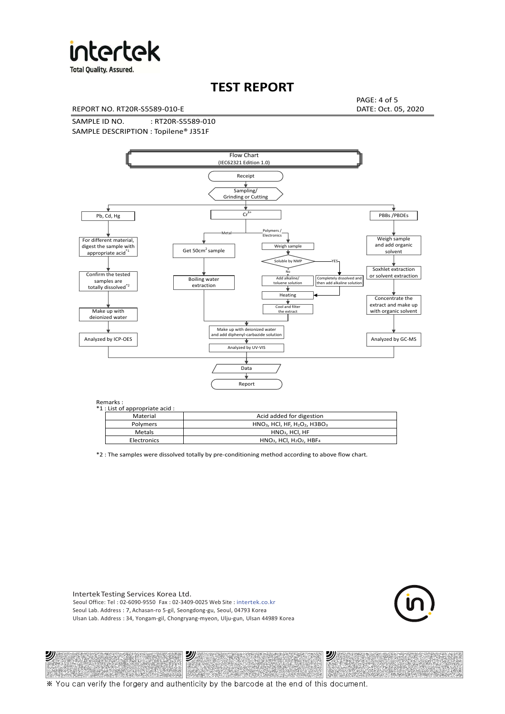

**Total Quality. Assured.** 

## **TEST REPORT**

REPORT NO. RT20R-S5589-010-E DATE: Oct. 05, 2020

PAGE: 4 of 5

SAMPLE ID NO. : RT20R-S5589-010 SAMPLE DESCRIPTION : Topilene® J351F



| *1 : List of appropriate acid : |                                                                     |
|---------------------------------|---------------------------------------------------------------------|
| Material                        | Acid added for digestion                                            |
| Polymers                        | $HNO3$ , HCl, HF, H <sub>2</sub> O <sub>2</sub> , H3BO <sub>3</sub> |
| Metals                          | HNO <sub>3</sub> , HCI, HF                                          |
| Electronics                     | $HNO3$ , HCl, H <sub>2</sub> O <sub>2</sub> , HBF <sub>4</sub>      |

\*2 : The samples were dissolved totally by pre-conditioning method according to above flow chart.

Intertek Testing Services Korea Ltd. Seoul Office: Tel : 02-6090-9550 Fax : 02-3409-0025 Web Site : intertek.co.kr Seoul Lab. Address : 7, Achasan-ro 5-gil, Seongdong-gu, Seoul, 04793 Korea Ulsan Lab. Address : 34, Yongam-gil, Chongryang-myeon, Ulju-gun, Ulsan 44989 Korea

沙

沙



沙